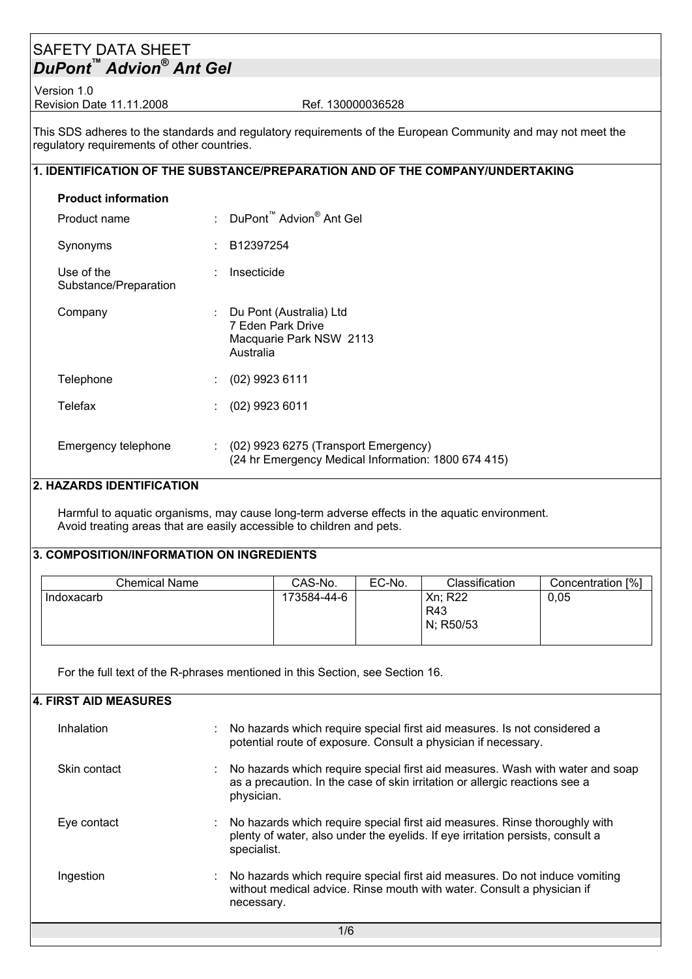## SAFETY DATA SHEET *DuPont™ Advion® Ant Gel*

Version 1.0 Revision Date 11.11.2008 Ref. 130000036528

This SDS adheres to the standards and regulatory requirements of the European Community and may not meet the regulatory requirements of other countries.

### **1. IDENTIFICATION OF THE SUBSTANCE/PREPARATION AND OF THE COMPANY/UNDERTAKING**

| <b>Product information</b>          |                                                                                               |
|-------------------------------------|-----------------------------------------------------------------------------------------------|
| Product name                        | : DuPont <sup>™</sup> Advion <sup>®</sup> Ant Gel                                             |
| Synonyms                            | $\therefore$ B12397254                                                                        |
| Use of the<br>Substance/Preparation | Insecticide                                                                                   |
| Company                             | Du Pont (Australia) Ltd<br>7 Eden Park Drive<br>Macquarie Park NSW 2113<br>Australia          |
| Telephone                           | $(02)$ 9923 6111                                                                              |
| Telefax                             | $(02)$ 9923 6011                                                                              |
| Emergency telephone                 | $(02)$ 9923 6275 (Transport Emergency)<br>(24 hr Emergency Medical Information: 1800 674 415) |

#### **2. HAZARDS IDENTIFICATION**

Harmful to aquatic organisms, may cause long-term adverse effects in the aquatic environment. Avoid treating areas that are easily accessible to children and pets.

#### **3. COMPOSITION/INFORMATION ON INGREDIENTS**

| Chemical Name | CAS-No.     | EC-No. | Classification                     | Concentration [%] |
|---------------|-------------|--------|------------------------------------|-------------------|
| Indoxacarb    | 173584-44-6 |        | Xn; R22<br><b>R43</b><br>N; R50/53 | 0,05              |

For the full text of the R-phrases mentioned in this Section, see Section 16.

| 4. FIRST AID MEASURES |                                                                                                                                                                               |
|-----------------------|-------------------------------------------------------------------------------------------------------------------------------------------------------------------------------|
| Inhalation            | No hazards which require special first aid measures. Is not considered a<br>potential route of exposure. Consult a physician if necessary.                                    |
| Skin contact          | : No hazards which require special first aid measures. Wash with water and soap<br>as a precaution. In the case of skin irritation or allergic reactions see a<br>physician.  |
| Eye contact           | : No hazards which require special first aid measures. Rinse thoroughly with<br>plenty of water, also under the eyelids. If eye irritation persists, consult a<br>specialist. |
| Ingestion             | : No hazards which require special first aid measures. Do not induce vomiting<br>without medical advice. Rinse mouth with water. Consult a physician if<br>necessary.         |
|                       | 1/6                                                                                                                                                                           |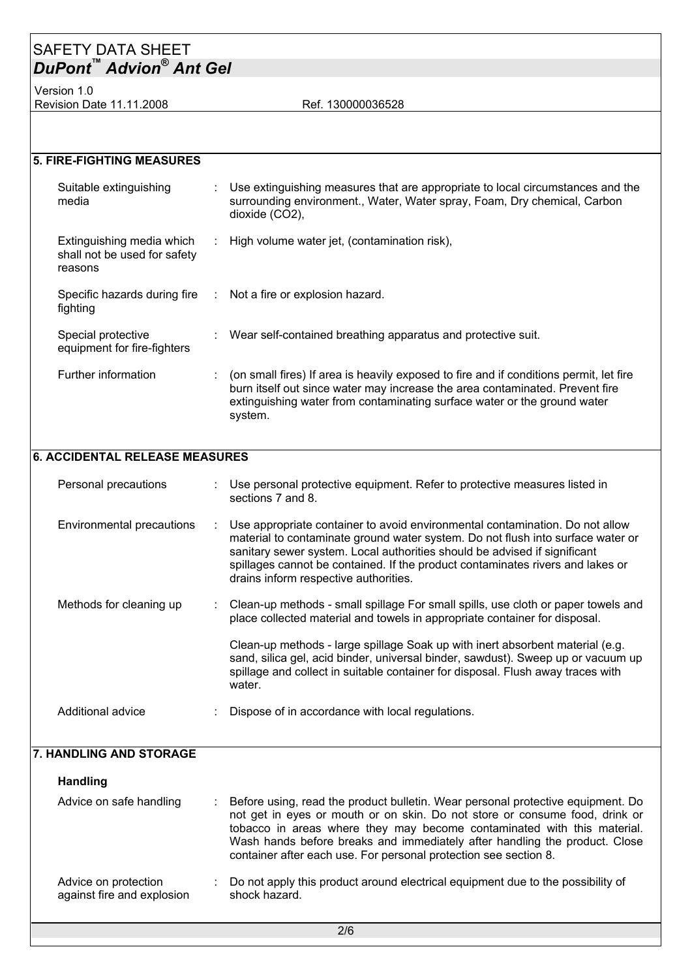## SAFETY DATA SHEET *DuPont™ Advion® Ant Gel*

Version 1.0 Revision Date 11.11.2008 Ref. 130000036528

| <b>5. FIRE-FIGHTING MEASURES</b>                                     |                                                                                                                                                                                                                                                               |
|----------------------------------------------------------------------|---------------------------------------------------------------------------------------------------------------------------------------------------------------------------------------------------------------------------------------------------------------|
| Suitable extinguishing<br>media                                      | Use extinguishing measures that are appropriate to local circumstances and the<br>surrounding environment., Water, Water spray, Foam, Dry chemical, Carbon<br>dioxide (CO2),                                                                                  |
| Extinguishing media which<br>shall not be used for safety<br>reasons | : High volume water jet, (contamination risk),                                                                                                                                                                                                                |
| fighting                                                             | Specific hazards during fire : Not a fire or explosion hazard.                                                                                                                                                                                                |
| Special protective<br>equipment for fire-fighters                    | : Wear self-contained breathing apparatus and protective suit.                                                                                                                                                                                                |
| Further information                                                  | (on small fires) If area is heavily exposed to fire and if conditions permit, let fire<br>burn itself out since water may increase the area contaminated. Prevent fire<br>extinguishing water from contaminating surface water or the ground water<br>system. |
| <b>6. ACCIDENTAL RELEASE MEASURES</b>                                |                                                                                                                                                                                                                                                               |

| Personal precautions      | : Use personal protective equipment. Refer to protective measures listed in<br>sections 7 and 8.                                                                                                                                                                                                                                                                          |
|---------------------------|---------------------------------------------------------------------------------------------------------------------------------------------------------------------------------------------------------------------------------------------------------------------------------------------------------------------------------------------------------------------------|
| Environmental precautions | : Use appropriate container to avoid environmental contamination. Do not allow<br>material to contaminate ground water system. Do not flush into surface water or<br>sanitary sewer system. Local authorities should be advised if significant<br>spillages cannot be contained. If the product contaminates rivers and lakes or<br>drains inform respective authorities. |
| Methods for cleaning up   | : Clean-up methods - small spillage For small spills, use cloth or paper towels and<br>place collected material and towels in appropriate container for disposal.                                                                                                                                                                                                         |
|                           | Clean-up methods - large spillage Soak up with inert absorbent material (e.g.<br>sand, silica gel, acid binder, universal binder, sawdust). Sweep up or vacuum up<br>spillage and collect in suitable container for disposal. Flush away traces with<br>water.                                                                                                            |
| Additional advice         | Dispose of in accordance with local regulations.                                                                                                                                                                                                                                                                                                                          |

#### **7. HANDLING AND STORAGE**

| <b>Handling</b>                                    |    |                                                                                                                                                                                                                                                                                                                                                                                             |
|----------------------------------------------------|----|---------------------------------------------------------------------------------------------------------------------------------------------------------------------------------------------------------------------------------------------------------------------------------------------------------------------------------------------------------------------------------------------|
| Advice on safe handling                            | ÷. | Before using, read the product bulletin. Wear personal protective equipment. Do<br>not get in eyes or mouth or on skin. Do not store or consume food, drink or<br>tobacco in areas where they may become contaminated with this material.<br>Wash hands before breaks and immediately after handling the product. Close<br>container after each use. For personal protection see section 8. |
| Advice on protection<br>against fire and explosion | ÷. | Do not apply this product around electrical equipment due to the possibility of<br>shock hazard.                                                                                                                                                                                                                                                                                            |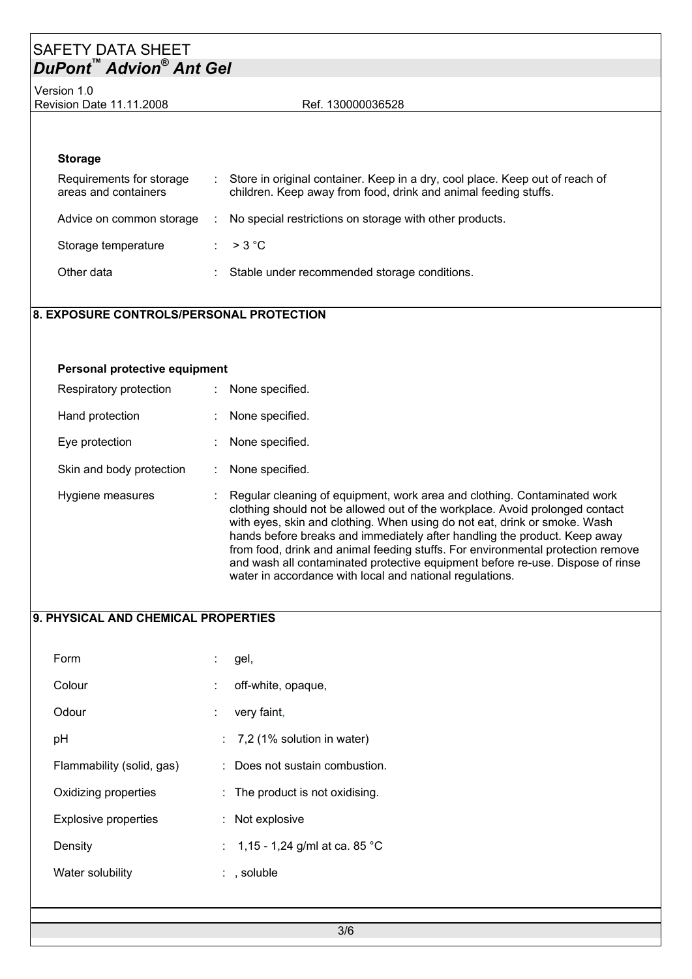## SAFETY DATA SHEET *DuPont™ Advion® Ant Gel*

Version 1.0 Revision Date 11.11.2008 Ref. 130000036528

#### **Storage**

| Requirements for storage<br>areas and containers | : Store in original container. Keep in a dry, cool place. Keep out of reach of<br>children. Keep away from food, drink and animal feeding stuffs. |
|--------------------------------------------------|---------------------------------------------------------------------------------------------------------------------------------------------------|
| Advice on common storage                         | No special restrictions on storage with other products.                                                                                           |
| Storage temperature                              | $\therefore$ > 3 °C                                                                                                                               |
| Other data                                       | : Stable under recommended storage conditions.                                                                                                    |

### **8. EXPOSURE CONTROLS/PERSONAL PROTECTION**

| Personal protective equipment |                                                                                                                                                                                                                                                                                                                                                                                                                                                                                                                                                     |
|-------------------------------|-----------------------------------------------------------------------------------------------------------------------------------------------------------------------------------------------------------------------------------------------------------------------------------------------------------------------------------------------------------------------------------------------------------------------------------------------------------------------------------------------------------------------------------------------------|
| Respiratory protection        | None specified.                                                                                                                                                                                                                                                                                                                                                                                                                                                                                                                                     |
| Hand protection               | None specified.                                                                                                                                                                                                                                                                                                                                                                                                                                                                                                                                     |
| Eye protection                | None specified.                                                                                                                                                                                                                                                                                                                                                                                                                                                                                                                                     |
| Skin and body protection      | : None specified.                                                                                                                                                                                                                                                                                                                                                                                                                                                                                                                                   |
| Hygiene measures              | Regular cleaning of equipment, work area and clothing. Contaminated work<br>clothing should not be allowed out of the workplace. Avoid prolonged contact<br>with eyes, skin and clothing. When using do not eat, drink or smoke. Wash<br>hands before breaks and immediately after handling the product. Keep away<br>from food, drink and animal feeding stuffs. For environmental protection remove<br>and wash all contaminated protective equipment before re-use. Dispose of rinse<br>water in accordance with local and national regulations. |

#### **9. PHYSICAL AND CHEMICAL PROPERTIES**

| Form                        | gel,                                       |
|-----------------------------|--------------------------------------------|
| Colour                      | off-white, opaque,                         |
| Odour                       | very faint,                                |
| рH                          | $\therefore$ 7,2 (1% solution in water)    |
| Flammability (solid, gas)   | : Does not sustain combustion.             |
| Oxidizing properties        | $\therefore$ The product is not oxidising. |
| <b>Explosive properties</b> | : Not explosive                            |
| Density                     | : 1,15 - 1,24 g/ml at ca. 85 °C            |
| Water solubility            | $:$ , soluble                              |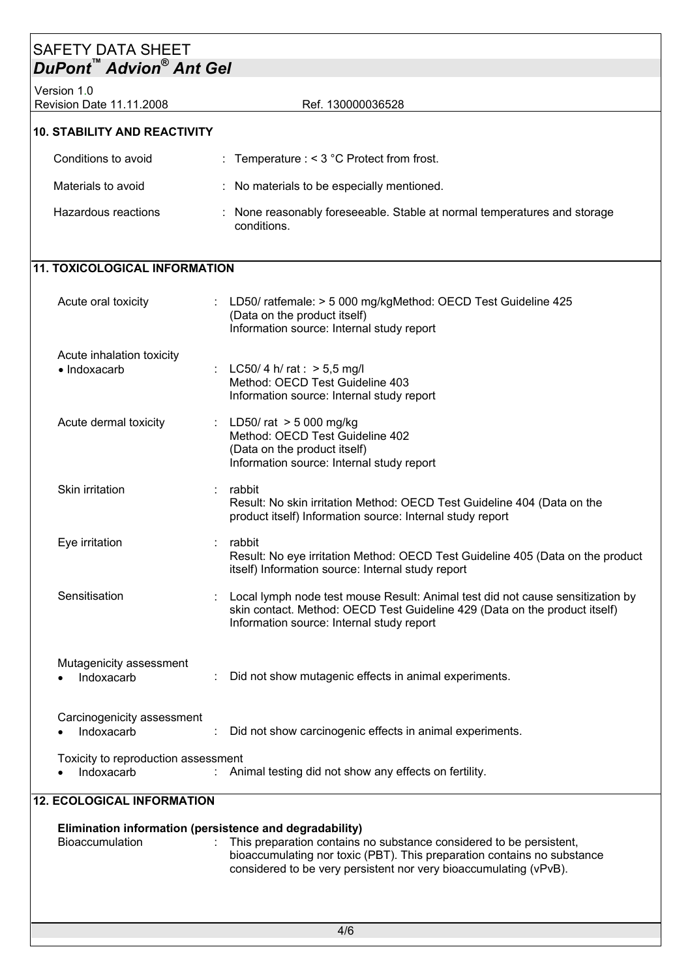# SAFETY DATA SHEET *DuPont™ Advion® Ant Gel*  Version 1.0 Revision Date 11.11.2008 Ref. 130000036528 **10. STABILITY AND REACTIVITY**

| Conditions to avoid | : Temperature $:$ < 3 °C Protect from frost.                                            |  |
|---------------------|-----------------------------------------------------------------------------------------|--|
| Materials to avoid  | : No materials to be especially mentioned.                                              |  |
| Hazardous reactions | : None reasonably foreseeable. Stable at normal temperatures and storage<br>conditions. |  |

## **11. TOXICOLOGICAL INFORMATION**

| Acute oral toxicity                               |   | : LD50/ ratfemale: > 5 000 mg/kgMethod: OECD Test Guideline 425<br>(Data on the product itself)<br>Information source: Internal study report                                                              |
|---------------------------------------------------|---|-----------------------------------------------------------------------------------------------------------------------------------------------------------------------------------------------------------|
| Acute inhalation toxicity<br>· Indoxacarb         |   | LC50/4 h/ rat : $>$ 5,5 mg/l<br>Method: OECD Test Guideline 403<br>Information source: Internal study report                                                                                              |
| Acute dermal toxicity                             | ÷ | LD50/ rat $>$ 5 000 mg/kg<br>Method: OECD Test Guideline 402<br>(Data on the product itself)<br>Information source: Internal study report                                                                 |
| Skin irritation                                   |   | rabbit<br>Result: No skin irritation Method: OECD Test Guideline 404 (Data on the<br>product itself) Information source: Internal study report                                                            |
| Eye irritation                                    |   | rabbit<br>Result: No eye irritation Method: OECD Test Guideline 405 (Data on the product<br>itself) Information source: Internal study report                                                             |
| Sensitisation                                     |   | Local lymph node test mouse Result: Animal test did not cause sensitization by<br>skin contact. Method: OECD Test Guideline 429 (Data on the product itself)<br>Information source: Internal study report |
| Mutagenicity assessment<br>Indoxacarb             |   | Did not show mutagenic effects in animal experiments.                                                                                                                                                     |
| Carcinogenicity assessment<br>Indoxacarb          | ÷ | Did not show carcinogenic effects in animal experiments.                                                                                                                                                  |
| Toxicity to reproduction assessment<br>Indoxacarb |   | Animal testing did not show any effects on fertility.                                                                                                                                                     |

## **12. ECOLOGICAL INFORMATION**

| <b>Bioaccumulation</b> | : This preparation contains no substance considered to be persistent,<br>bioaccumulating nor toxic (PBT). This preparation contains no substance<br>considered to be very persistent nor very bioaccumulating (vPvB). |
|------------------------|-----------------------------------------------------------------------------------------------------------------------------------------------------------------------------------------------------------------------|
|                        |                                                                                                                                                                                                                       |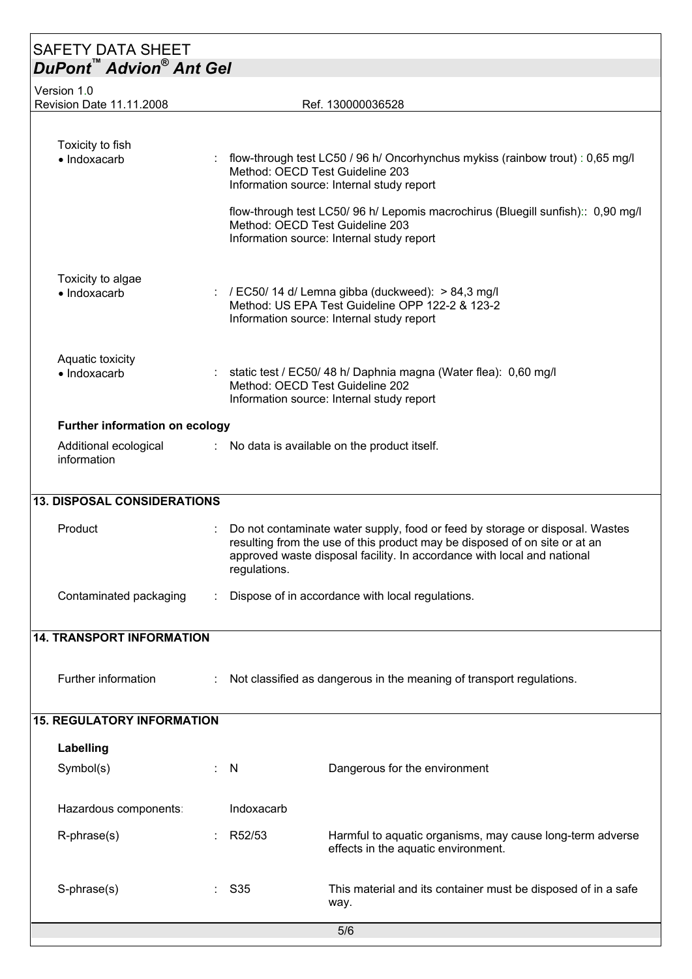| <b>SAFETY DATA SHEET</b>                |   |                                                                                                                                                                                                                                                       |                                                                                                                                                                  |  |
|-----------------------------------------|---|-------------------------------------------------------------------------------------------------------------------------------------------------------------------------------------------------------------------------------------------------------|------------------------------------------------------------------------------------------------------------------------------------------------------------------|--|
| <b>DuPont™ Advion® Ant Gel</b>          |   |                                                                                                                                                                                                                                                       |                                                                                                                                                                  |  |
| Version 1.0<br>Revision Date 11.11.2008 |   |                                                                                                                                                                                                                                                       | Ref. 130000036528                                                                                                                                                |  |
|                                         |   |                                                                                                                                                                                                                                                       |                                                                                                                                                                  |  |
| Toxicity to fish<br>• Indoxacarb        |   |                                                                                                                                                                                                                                                       | flow-through test LC50 / 96 h/ Oncorhynchus mykiss (rainbow trout) : 0,65 mg/l<br>Method: OECD Test Guideline 203<br>Information source: Internal study report   |  |
|                                         |   |                                                                                                                                                                                                                                                       | flow-through test LC50/ 96 h/ Lepomis macrochirus (Bluegill sunfish):: 0,90 mg/l<br>Method: OECD Test Guideline 203<br>Information source: Internal study report |  |
| Toxicity to algae<br>· Indoxacarb       |   |                                                                                                                                                                                                                                                       | : / EC50/ 14 d/ Lemna gibba (duckweed): $> 84.3$ mg/l<br>Method: US EPA Test Guideline OPP 122-2 & 123-2<br>Information source: Internal study report            |  |
| Aquatic toxicity<br>• Indoxacarb        |   | : static test / EC50/ 48 h/ Daphnia magna (Water flea): 0,60 mg/l<br>Method: OECD Test Guideline 202<br>Information source: Internal study report                                                                                                     |                                                                                                                                                                  |  |
| Further information on ecology          |   |                                                                                                                                                                                                                                                       |                                                                                                                                                                  |  |
| Additional ecological<br>information    |   |                                                                                                                                                                                                                                                       | : No data is available on the product itself.                                                                                                                    |  |
| <b>13. DISPOSAL CONSIDERATIONS</b>      |   |                                                                                                                                                                                                                                                       |                                                                                                                                                                  |  |
| Product                                 |   | Do not contaminate water supply, food or feed by storage or disposal. Wastes<br>resulting from the use of this product may be disposed of on site or at an<br>approved waste disposal facility. In accordance with local and national<br>regulations. |                                                                                                                                                                  |  |
| Contaminated packaging                  |   | Dispose of in accordance with local regulations.                                                                                                                                                                                                      |                                                                                                                                                                  |  |
| <b>14. TRANSPORT INFORMATION</b>        |   |                                                                                                                                                                                                                                                       |                                                                                                                                                                  |  |
| Further information                     |   | Not classified as dangerous in the meaning of transport regulations.                                                                                                                                                                                  |                                                                                                                                                                  |  |
| <b>15. REGULATORY INFORMATION</b>       |   |                                                                                                                                                                                                                                                       |                                                                                                                                                                  |  |
| Labelling                               |   |                                                                                                                                                                                                                                                       |                                                                                                                                                                  |  |
| Symbol(s)                               | ÷ | - N                                                                                                                                                                                                                                                   | Dangerous for the environment                                                                                                                                    |  |
| Hazardous components:                   |   | Indoxacarb                                                                                                                                                                                                                                            |                                                                                                                                                                  |  |
| R-phrase(s)                             |   | R52/53                                                                                                                                                                                                                                                | Harmful to aquatic organisms, may cause long-term adverse<br>effects in the aquatic environment.                                                                 |  |
| S-phrase(s)                             |   | $\therefore$ S35                                                                                                                                                                                                                                      | This material and its container must be disposed of in a safe<br>way.                                                                                            |  |
|                                         |   |                                                                                                                                                                                                                                                       | 5/6                                                                                                                                                              |  |